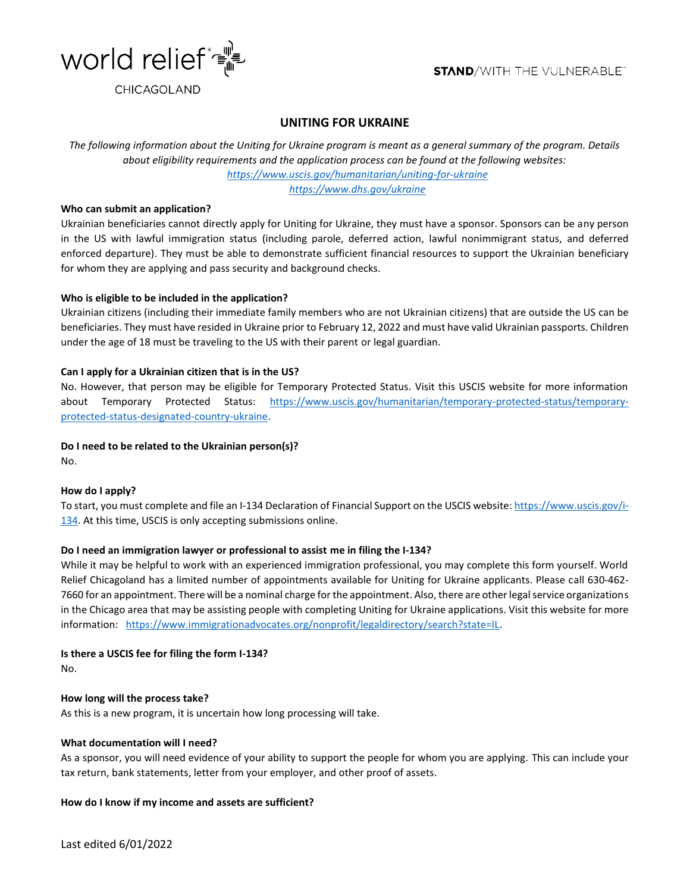

# **UNITING FOR UKRAINE**

*The following information about the Uniting for Ukraine program is meant as a general summary of the program. Details about eligibility requirements and the application process can be found at the following websites: <https://www.uscis.gov/humanitarian/uniting-for-ukraine>*

 *<https://www.dhs.gov/ukraine>*

# **Who can submit an application?**

Ukrainian beneficiaries cannot directly apply for Uniting for Ukraine, they must have a sponsor. Sponsors can be any person in the US with lawful immigration status (including parole, deferred action, lawful nonimmigrant status, and deferred enforced departure). They must be able to demonstrate sufficient financial resources to support the Ukrainian beneficiary for whom they are applying and pass security and background checks.

# **Who is eligible to be included in the application?**

Ukrainian citizens (including their immediate family members who are not Ukrainian citizens) that are outside the US can be beneficiaries. They must have resided in Ukraine prior to February 12, 2022 and must have valid Ukrainian passports. Children under the age of 18 must be traveling to the US with their parent or legal guardian.

# **Can I apply for a Ukrainian citizen that is in the US?**

No. However, that person may be eligible for Temporary Protected Status. Visit this USCIS website for more information about Temporary Protected Status: [https://www.uscis.gov/humanitarian/temporary-protected-status/temporary](https://www.uscis.gov/humanitarian/temporary-protected-status/temporary-protected-status-designated-country-ukraine)[protected-status-designated-country-ukraine.](https://www.uscis.gov/humanitarian/temporary-protected-status/temporary-protected-status-designated-country-ukraine)

# **Do I need to be related to the Ukrainian person(s)?**

No.

### **How do I apply?**

To start, you must complete and file an I-134 Declaration of Financial Support on the USCIS website[: https://www.uscis.gov/i-](https://www.uscis.gov/i-134)[134.](https://www.uscis.gov/i-134) At this time, USCIS is only accepting submissions online.

### **Do I need an immigration lawyer or professional to assist me in filing the I-134?**

While it may be helpful to work with an experienced immigration professional, you may complete this form yourself. World Relief Chicagoland has a limited number of appointments available for Uniting for Ukraine applicants. Please call 630-462- 7660 for an appointment. There will be a nominal charge for the appointment. Also, there are other legal service organizations in the Chicago area that may be assisting people with completing Uniting for Ukraine applications. Visit this website for more information: [https://www.immigrationadvocates.org/nonprofit/legaldirectory/search?state=IL.](https://www.immigrationadvocates.org/nonprofit/legaldirectory/search?state=IL)

### **Is there a USCIS fee for filing the form I-134?** No.

### **How long will the process take?**

As this is a new program, it is uncertain how long processing will take.

### **What documentation will I need?**

As a sponsor, you will need evidence of your ability to support the people for whom you are applying. This can include your tax return, bank statements, letter from your employer, and other proof of assets.

### **How do I know if my income and assets are sufficient?**